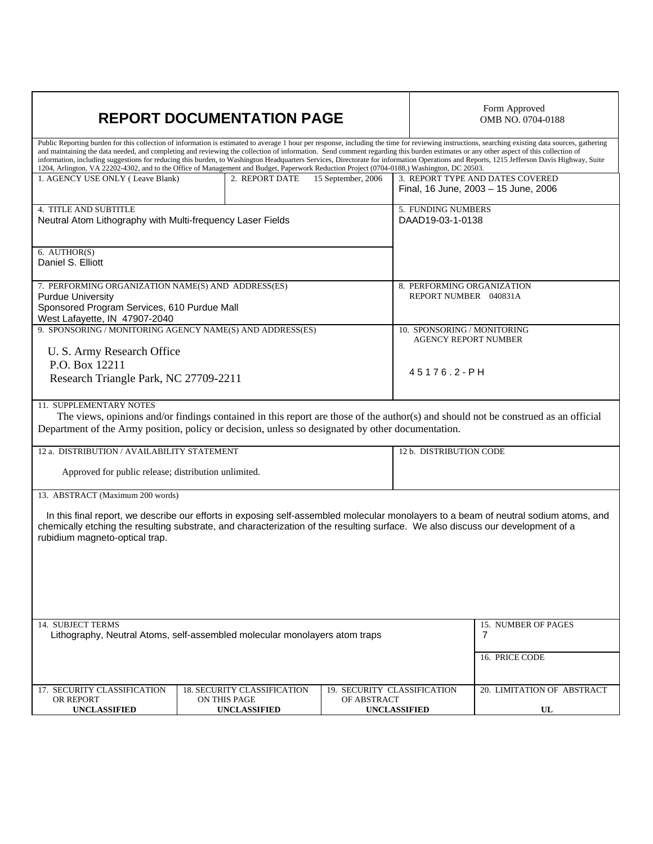| <b>REPORT DOCUMENTATION PAGE</b>                                                                                                                                                                                                                                                                                                                                                                                                                                                                                                                                                                                                                                                                                                    | Form Approved<br>OMB NO. 0704-0188                 |                                                                   |                                        |                                      |  |
|-------------------------------------------------------------------------------------------------------------------------------------------------------------------------------------------------------------------------------------------------------------------------------------------------------------------------------------------------------------------------------------------------------------------------------------------------------------------------------------------------------------------------------------------------------------------------------------------------------------------------------------------------------------------------------------------------------------------------------------|----------------------------------------------------|-------------------------------------------------------------------|----------------------------------------|--------------------------------------|--|
| Public Reporting burden for this collection of information is estimated to average 1 hour per response, including the time for reviewing instructions, searching existing data sources, gathering<br>and maintaining the data needed, and completing and reviewing the collection of information. Send comment regarding this burden estimates or any other aspect of this collection of<br>information, including suggestions for reducing this burden, to Washington Headquarters Services, Directorate for information Operations and Reports, 1215 Jefferson Davis Highway, Suite<br>1204, Arlington, VA 22202-4302, and to the Office of Management and Budget, Paperwork Reduction Project (0704-0188,) Washington, DC 20503. |                                                    |                                                                   |                                        |                                      |  |
| 1. AGENCY USE ONLY (Leave Blank)                                                                                                                                                                                                                                                                                                                                                                                                                                                                                                                                                                                                                                                                                                    | 2. REPORT DATE                                     | 15 September, 2006                                                |                                        | 3. REPORT TYPE AND DATES COVERED     |  |
|                                                                                                                                                                                                                                                                                                                                                                                                                                                                                                                                                                                                                                                                                                                                     |                                                    |                                                                   |                                        | Final, 16 June, 2003 - 15 June, 2006 |  |
| 4. TITLE AND SUBTITLE<br>Neutral Atom Lithography with Multi-frequency Laser Fields                                                                                                                                                                                                                                                                                                                                                                                                                                                                                                                                                                                                                                                 |                                                    |                                                                   | 5. FUNDING NUMBERS<br>DAAD19-03-1-0138 |                                      |  |
|                                                                                                                                                                                                                                                                                                                                                                                                                                                                                                                                                                                                                                                                                                                                     |                                                    |                                                                   |                                        |                                      |  |
| 6. AUTHOR(S)<br>Daniel S. Elliott                                                                                                                                                                                                                                                                                                                                                                                                                                                                                                                                                                                                                                                                                                   |                                                    |                                                                   |                                        |                                      |  |
| 7. PERFORMING ORGANIZATION NAME(S) AND ADDRESS(ES)                                                                                                                                                                                                                                                                                                                                                                                                                                                                                                                                                                                                                                                                                  |                                                    |                                                                   | 8. PERFORMING ORGANIZATION             |                                      |  |
| <b>Purdue University</b>                                                                                                                                                                                                                                                                                                                                                                                                                                                                                                                                                                                                                                                                                                            |                                                    |                                                                   | REPORT NUMBER 040831A                  |                                      |  |
| Sponsored Program Services, 610 Purdue Mall                                                                                                                                                                                                                                                                                                                                                                                                                                                                                                                                                                                                                                                                                         |                                                    |                                                                   |                                        |                                      |  |
| West Lafayette, IN 47907-2040<br>9. SPONSORING / MONITORING AGENCY NAME(S) AND ADDRESS(ES)                                                                                                                                                                                                                                                                                                                                                                                                                                                                                                                                                                                                                                          |                                                    |                                                                   | 10. SPONSORING / MONITORING            |                                      |  |
|                                                                                                                                                                                                                                                                                                                                                                                                                                                                                                                                                                                                                                                                                                                                     |                                                    |                                                                   | <b>AGENCY REPORT NUMBER</b>            |                                      |  |
| U. S. Army Research Office                                                                                                                                                                                                                                                                                                                                                                                                                                                                                                                                                                                                                                                                                                          |                                                    |                                                                   |                                        |                                      |  |
| P.O. Box 12211                                                                                                                                                                                                                                                                                                                                                                                                                                                                                                                                                                                                                                                                                                                      |                                                    |                                                                   | 45176.2-PH                             |                                      |  |
| Research Triangle Park, NC 27709-2211                                                                                                                                                                                                                                                                                                                                                                                                                                                                                                                                                                                                                                                                                               |                                                    |                                                                   |                                        |                                      |  |
| 11. SUPPLEMENTARY NOTES<br>The views, opinions and/or findings contained in this report are those of the author(s) and should not be construed as an official<br>Department of the Army position, policy or decision, unless so designated by other documentation.                                                                                                                                                                                                                                                                                                                                                                                                                                                                  |                                                    |                                                                   |                                        |                                      |  |
| 12 a. DISTRIBUTION / AVAILABILITY STATEMENT                                                                                                                                                                                                                                                                                                                                                                                                                                                                                                                                                                                                                                                                                         |                                                    |                                                                   | 12 b. DISTRIBUTION CODE                |                                      |  |
| Approved for public release; distribution unlimited.                                                                                                                                                                                                                                                                                                                                                                                                                                                                                                                                                                                                                                                                                |                                                    |                                                                   |                                        |                                      |  |
| 13. ABSTRACT (Maximum 200 words)                                                                                                                                                                                                                                                                                                                                                                                                                                                                                                                                                                                                                                                                                                    |                                                    |                                                                   |                                        |                                      |  |
| In this final report, we describe our efforts in exposing self-assembled molecular monolayers to a beam of neutral sodium atoms, and<br>chemically etching the resulting substrate, and characterization of the resulting surface. We also discuss our development of a<br>rubidium magneto-optical trap.                                                                                                                                                                                                                                                                                                                                                                                                                           |                                                    |                                                                   |                                        |                                      |  |
|                                                                                                                                                                                                                                                                                                                                                                                                                                                                                                                                                                                                                                                                                                                                     |                                                    |                                                                   |                                        |                                      |  |
| 14. SUBJECT TERMS                                                                                                                                                                                                                                                                                                                                                                                                                                                                                                                                                                                                                                                                                                                   |                                                    |                                                                   |                                        | 15. NUMBER OF PAGES                  |  |
| Lithography, Neutral Atoms, self-assembled molecular monolayers atom traps                                                                                                                                                                                                                                                                                                                                                                                                                                                                                                                                                                                                                                                          |                                                    |                                                                   |                                        | 7                                    |  |
|                                                                                                                                                                                                                                                                                                                                                                                                                                                                                                                                                                                                                                                                                                                                     |                                                    |                                                                   |                                        | 16. PRICE CODE                       |  |
| 17. SECURITY CLASSIFICATION<br>OR REPORT                                                                                                                                                                                                                                                                                                                                                                                                                                                                                                                                                                                                                                                                                            | <b>18. SECURITY CLASSIFICATION</b><br>ON THIS PAGE | 19. SECURITY CLASSIFICATION<br>OF ABSTRACT<br><b>UNCLASSIFIED</b> |                                        | 20. LIMITATION OF ABSTRACT           |  |
| <b>UNCLASSIFIED</b>                                                                                                                                                                                                                                                                                                                                                                                                                                                                                                                                                                                                                                                                                                                 | <b>UNCLASSIFIED</b>                                |                                                                   |                                        | UL                                   |  |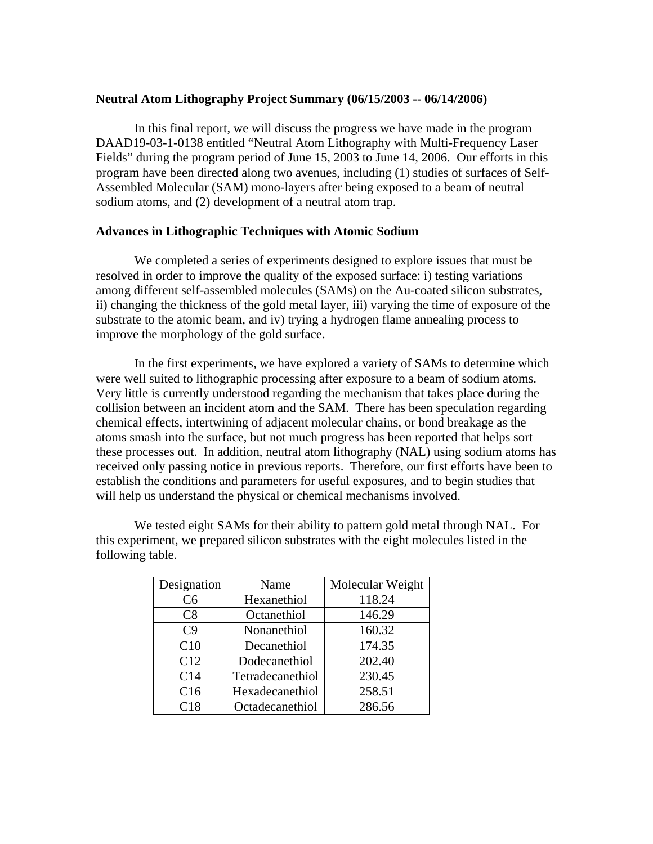# **Neutral Atom Lithography Project Summary (06/15/2003 -- 06/14/2006)**

In this final report, we will discuss the progress we have made in the program DAAD19-03-1-0138 entitled "Neutral Atom Lithography with Multi-Frequency Laser Fields" during the program period of June 15, 2003 to June 14, 2006. Our efforts in this program have been directed along two avenues, including (1) studies of surfaces of Self-Assembled Molecular (SAM) mono-layers after being exposed to a beam of neutral sodium atoms, and (2) development of a neutral atom trap.

# **Advances in Lithographic Techniques with Atomic Sodium**

We completed a series of experiments designed to explore issues that must be resolved in order to improve the quality of the exposed surface: i) testing variations among different self-assembled molecules (SAMs) on the Au-coated silicon substrates, ii) changing the thickness of the gold metal layer, iii) varying the time of exposure of the substrate to the atomic beam, and iv) trying a hydrogen flame annealing process to improve the morphology of the gold surface.

In the first experiments, we have explored a variety of SAMs to determine which were well suited to lithographic processing after exposure to a beam of sodium atoms. Very little is currently understood regarding the mechanism that takes place during the collision between an incident atom and the SAM. There has been speculation regarding chemical effects, intertwining of adjacent molecular chains, or bond breakage as the atoms smash into the surface, but not much progress has been reported that helps sort these processes out. In addition, neutral atom lithography (NAL) using sodium atoms has received only passing notice in previous reports. Therefore, our first efforts have been to establish the conditions and parameters for useful exposures, and to begin studies that will help us understand the physical or chemical mechanisms involved.

We tested eight SAMs for their ability to pattern gold metal through NAL. For this experiment, we prepared silicon substrates with the eight molecules listed in the following table.

| Designation    | Name             | Molecular Weight |
|----------------|------------------|------------------|
| C <sub>6</sub> | Hexanethiol      | 118.24           |
| C8             | Octanethiol      | 146.29           |
| C <sub>9</sub> | Nonanethiol      | 160.32           |
| C10            | Decanethiol      | 174.35           |
| C12            | Dodecanethiol    | 202.40           |
| C14            | Tetradecanethiol | 230.45           |
| C16            | Hexadecanethiol  | 258.51           |
| C18            | Octadecanethiol  | 286.56           |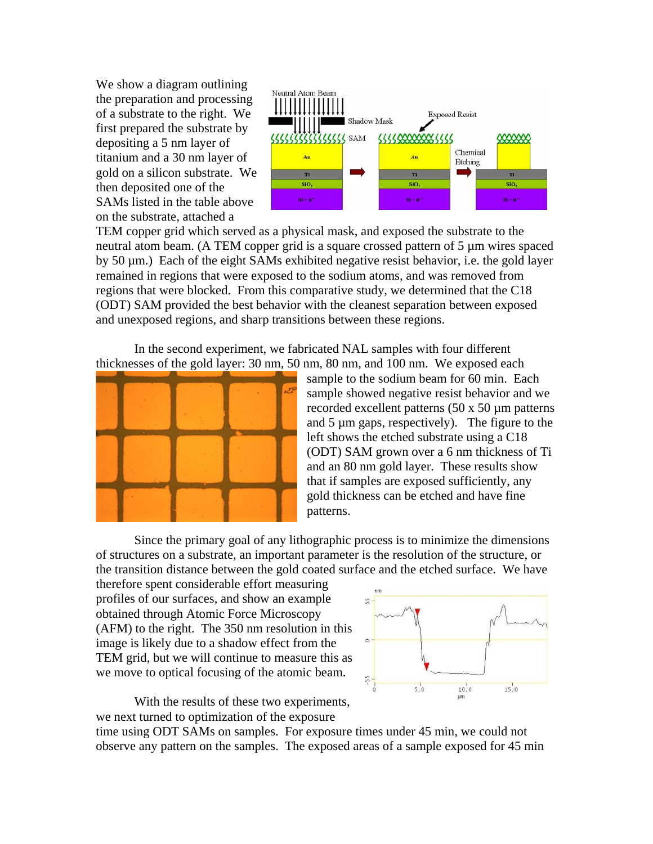We show a diagram outlining the preparation and processing of a substrate to the right. We first prepared the substrate by depositing a 5 nm layer of titanium and a 30 nm layer of gold on a silicon substrate. We then deposited one of the SAMs listed in the table above on the substrate, attached a



TEM copper grid which served as a physical mask, and exposed the substrate to the neutral atom beam. (A TEM copper grid is a square crossed pattern of 5 µm wires spaced by 50 µm.) Each of the eight SAMs exhibited negative resist behavior, i.e. the gold layer remained in regions that were exposed to the sodium atoms, and was removed from regions that were blocked. From this comparative study, we determined that the C18 (ODT) SAM provided the best behavior with the cleanest separation between exposed and unexposed regions, and sharp transitions between these regions.

In the second experiment, we fabricated NAL samples with four different thicknesses of the gold layer: 30 nm, 50 nm, 80 nm, and 100 nm. We exposed each



sample to the sodium beam for 60 min. Each sample showed negative resist behavior and we recorded excellent patterns (50 x 50 µm patterns and 5 µm gaps, respectively). The figure to the left shows the etched substrate using a C18 (ODT) SAM grown over a 6 nm thickness of Ti and an 80 nm gold layer. These results show that if samples are exposed sufficiently, any gold thickness can be etched and have fine patterns.

Since the primary goal of any lithographic process is to minimize the dimensions of structures on a substrate, an important parameter is the resolution of the structure, or the transition distance between the gold coated surface and the etched surface. We have

therefore spent considerable effort measuring profiles of our surfaces, and show an example obtained through Atomic Force Microscopy (AFM) to the right. The 350 nm resolution in this image is likely due to a shadow effect from the TEM grid, but we will continue to measure this as we move to optical focusing of the atomic beam.



With the results of these two experiments, we next turned to optimization of the exposure

time using ODT SAMs on samples. For exposure times under 45 min, we could not observe any pattern on the samples. The exposed areas of a sample exposed for 45 min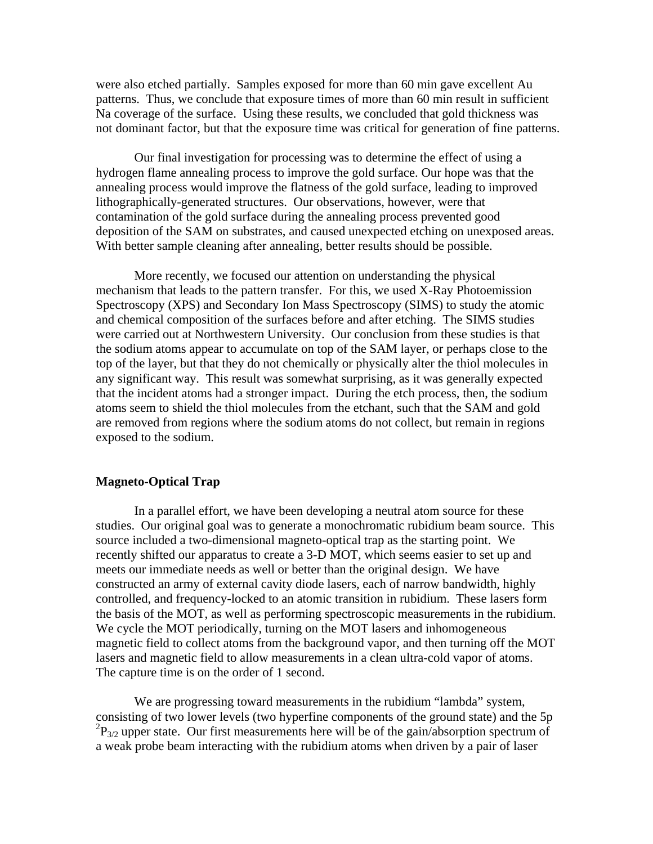were also etched partially. Samples exposed for more than 60 min gave excellent Au patterns. Thus, we conclude that exposure times of more than 60 min result in sufficient Na coverage of the surface. Using these results, we concluded that gold thickness was not dominant factor, but that the exposure time was critical for generation of fine patterns.

Our final investigation for processing was to determine the effect of using a hydrogen flame annealing process to improve the gold surface. Our hope was that the annealing process would improve the flatness of the gold surface, leading to improved lithographically-generated structures. Our observations, however, were that contamination of the gold surface during the annealing process prevented good deposition of the SAM on substrates, and caused unexpected etching on unexposed areas. With better sample cleaning after annealing, better results should be possible.

More recently, we focused our attention on understanding the physical mechanism that leads to the pattern transfer. For this, we used X-Ray Photoemission Spectroscopy (XPS) and Secondary Ion Mass Spectroscopy (SIMS) to study the atomic and chemical composition of the surfaces before and after etching. The SIMS studies were carried out at Northwestern University. Our conclusion from these studies is that the sodium atoms appear to accumulate on top of the SAM layer, or perhaps close to the top of the layer, but that they do not chemically or physically alter the thiol molecules in any significant way. This result was somewhat surprising, as it was generally expected that the incident atoms had a stronger impact. During the etch process, then, the sodium atoms seem to shield the thiol molecules from the etchant, such that the SAM and gold are removed from regions where the sodium atoms do not collect, but remain in regions exposed to the sodium.

### **Magneto-Optical Trap**

In a parallel effort, we have been developing a neutral atom source for these studies. Our original goal was to generate a monochromatic rubidium beam source. This source included a two-dimensional magneto-optical trap as the starting point. We recently shifted our apparatus to create a 3-D MOT, which seems easier to set up and meets our immediate needs as well or better than the original design. We have constructed an army of external cavity diode lasers, each of narrow bandwidth, highly controlled, and frequency-locked to an atomic transition in rubidium. These lasers form the basis of the MOT, as well as performing spectroscopic measurements in the rubidium. We cycle the MOT periodically, turning on the MOT lasers and inhomogeneous magnetic field to collect atoms from the background vapor, and then turning off the MOT lasers and magnetic field to allow measurements in a clean ultra-cold vapor of atoms. The capture time is on the order of 1 second.

We are progressing toward measurements in the rubidium "lambda" system, consisting of two lower levels (two hyperfine components of the ground state) and the 5p  ${}^{2}P_{3/2}$  upper state. Our first measurements here will be of the gain/absorption spectrum of a weak probe beam interacting with the rubidium atoms when driven by a pair of laser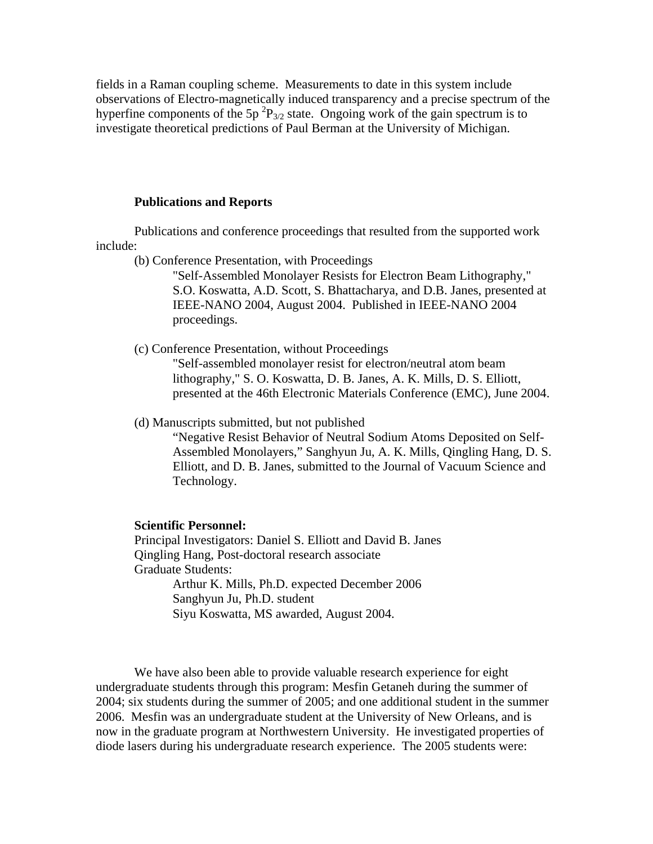fields in a Raman coupling scheme. Measurements to date in this system include observations of Electro-magnetically induced transparency and a precise spectrum of the hyperfine components of the  $5p^2P_{3/2}$  state. Ongoing work of the gain spectrum is to investigate theoretical predictions of Paul Berman at the University of Michigan.

#### **Publications and Reports**

Publications and conference proceedings that resulted from the supported work include:

(b) Conference Presentation, with Proceedings

"Self-Assembled Monolayer Resists for Electron Beam Lithography," S.O. Koswatta, A.D. Scott, S. Bhattacharya, and D.B. Janes, presented at IEEE-NANO 2004, August 2004. Published in IEEE-NANO 2004 proceedings.

(c) Conference Presentation, without Proceedings

"Self-assembled monolayer resist for electron/neutral atom beam lithography," S. O. Koswatta, D. B. Janes, A. K. Mills, D. S. Elliott, presented at the 46th Electronic Materials Conference (EMC), June 2004.

(d) Manuscripts submitted, but not published

"Negative Resist Behavior of Neutral Sodium Atoms Deposited on Self-Assembled Monolayers," Sanghyun Ju, A. K. Mills, Qingling Hang, D. S. Elliott, and D. B. Janes, submitted to the Journal of Vacuum Science and Technology.

### **Scientific Personnel:**

Principal Investigators: Daniel S. Elliott and David B. Janes Qingling Hang, Post-doctoral research associate Graduate Students: Arthur K. Mills, Ph.D. expected December 2006 Sanghyun Ju, Ph.D. student Siyu Koswatta, MS awarded, August 2004.

We have also been able to provide valuable research experience for eight undergraduate students through this program: Mesfin Getaneh during the summer of 2004; six students during the summer of 2005; and one additional student in the summer 2006. Mesfin was an undergraduate student at the University of New Orleans, and is now in the graduate program at Northwestern University. He investigated properties of diode lasers during his undergraduate research experience. The 2005 students were: